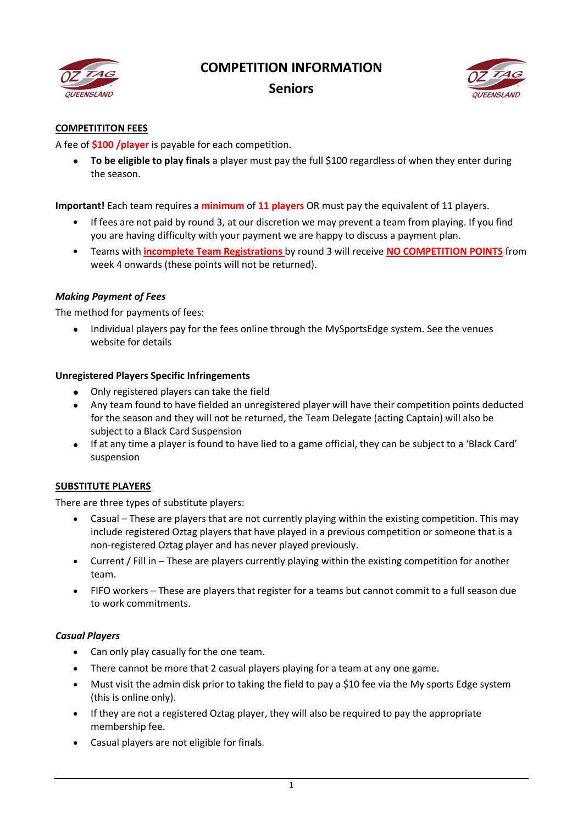

# **COMPETITION INFORMATION**

# **Seniors**



# **COMPETITITON FEES**

A fee of **\$100 /player** is payable for each competition.

 **To be eligible to play finals** a player must pay the full \$100 regardless of when they enter during the season.

**Important!** Each team requires a **minimum** of **11 players** OR must pay the equivalent of 11 players.

- If fees are not paid by round 3, at our discretion we may prevent a team from playing. If you find you are having difficulty with your payment we are happy to discuss a payment plan.
- Teams with **incomplete Team Registrations** by round 3 will receive **NO COMPETITION POINTS** from week 4 onwards (these points will not be returned).

# *Making Payment of Fees*

The method for payments of fees:

 Individual players pay for the fees online through the MySportsEdge system. See the venues website for details

# **Unregistered Players Specific Infringements**

- Only registered players can take the field
- Any team found to have fielded an unregistered player will have their competition points deducted for the season and they will not be returned, the Team Delegate (acting Captain) will also be subject to a Black Card Suspension
- If at any time a player is found to have lied to a game official, they can be subject to a 'Black Card' suspension

# **SUBSTITUTE PLAYERS**

There are three types of substitute players:

- Casual These are players that are not currently playing within the existing competition. This may include registered Oztag players that have played in a previous competition or someone that is a non-registered Oztag player and has never played previously.
- Current / Fill in These are players currently playing within the existing competition for another team.
- FIFO workers These are players that register for a teams but cannot commit to a full season due to work commitments.

#### *Casual Players*

- Can only play casually for the one team.
- There cannot be more that 2 casual players playing for a team at any one game.
- Must visit the admin disk prior to taking the field to pay a \$10 fee via the My sports Edge system (this is online only).
- If they are not a registered Oztag player, they will also be required to pay the appropriate membership fee.
- Casual players are not eligible for finals.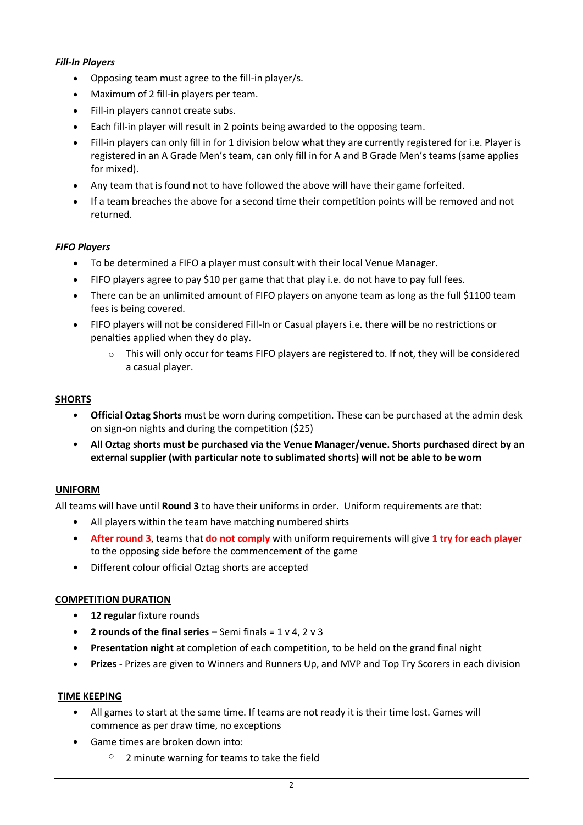# *Fill-In Players*

- Opposing team must agree to the fill-in player/s.
- Maximum of 2 fill-in players per team.
- Fill-in players cannot create subs.
- Each fill-in player will result in 2 points being awarded to the opposing team.
- Fill-in players can only fill in for 1 division below what they are currently registered for i.e. Player is registered in an A Grade Men's team, can only fill in for A and B Grade Men's teams (same applies for mixed).
- Any team that is found not to have followed the above will have their game forfeited.
- If a team breaches the above for a second time their competition points will be removed and not returned.

# *FIFO Players*

- To be determined a FIFO a player must consult with their local Venue Manager.
- FIFO players agree to pay \$10 per game that that play i.e. do not have to pay full fees.
- There can be an unlimited amount of FIFO players on anyone team as long as the full \$1100 team fees is being covered.
- FIFO players will not be considered Fill-In or Casual players i.e. there will be no restrictions or penalties applied when they do play.
	- o This will only occur for teams FIFO players are registered to. If not, they will be considered a casual player.

#### **SHORTS**

- **Official Oztag Shorts** must be worn during competition. These can be purchased at the admin desk on sign-on nights and during the competition (\$25)
- **All Oztag shorts must be purchased via the Venue Manager/venue. Shorts purchased direct by an external supplier (with particular note to sublimated shorts) will not be able to be worn**

# **UNIFORM**

All teams will have until **Round 3** to have their uniforms in order. Uniform requirements are that:

- All players within the team have matching numbered shirts
- **After round 3**, teams that **do not comply** with uniform requirements will give **1 try for each player** to the opposing side before the commencement of the game
- Different colour official Oztag shorts are accepted

#### **COMPETITION DURATION**

- **12 regular** fixture rounds
- **2 rounds of the final series –** Semi finals = 1 v 4, 2 v 3
- **Presentation night** at completion of each competition, to be held on the grand final night
- **Prizes**  Prizes are given to Winners and Runners Up, and MVP and Top Try Scorers in each division

#### **TIME KEEPING**

- All games to start at the same time. If teams are not ready it is their time lost. Games will commence as per draw time, no exceptions
- Game times are broken down into:
	- $\degree$  2 minute warning for teams to take the field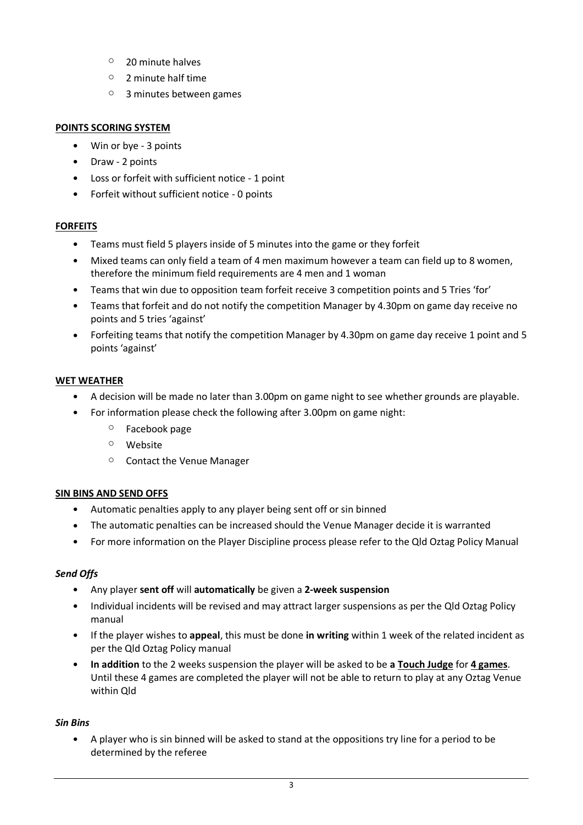- o 20 minute halves
- $\circ$  2 minute half time
- o 3 minutes between games

# **POINTS SCORING SYSTEM**

- Win or bye 3 points
- Draw 2 points
- Loss or forfeit with sufficient notice 1 point
- Forfeit without sufficient notice 0 points

# **FORFEITS**

- Teams must field 5 players inside of 5 minutes into the game or they forfeit
- Mixed teams can only field a team of 4 men maximum however a team can field up to 8 women, therefore the minimum field requirements are 4 men and 1 woman
- Teams that win due to opposition team forfeit receive 3 competition points and 5 Tries 'for'
- Teams that forfeit and do not notify the competition Manager by 4.30pm on game day receive no points and 5 tries 'against'
- Forfeiting teams that notify the competition Manager by 4.30pm on game day receive 1 point and 5 points 'against'

# **WET WEATHER**

- A decision will be made no later than 3.00pm on game night to see whether grounds are playable.
- For information please check the following after 3.00pm on game night:
	- o Facebook page
	- o Website
	- o Contact the Venue Manager

# **SIN BINS AND SEND OFFS**

- Automatic penalties apply to any player being sent off or sin binned
- The automatic penalties can be increased should the Venue Manager decide it is warranted
- For more information on the Player Discipline process please refer to the Qld Oztag Policy Manual

# *Send Offs*

- Any player **sent off** will **automatically** be given a **2-week suspension**
- Individual incidents will be revised and may attract larger suspensions as per the Qld Oztag Policy manual
- If the player wishes to **appeal**, this must be done **in writing** within 1 week of the related incident as per the Qld Oztag Policy manual
- **In addition** to the 2 weeks suspension the player will be asked to be **a Touch Judge** for **4 games**. Until these 4 games are completed the player will not be able to return to play at any Oztag Venue within Qld

#### *Sin Bins*

 A player who is sin binned will be asked to stand at the oppositions try line for a period to be determined by the referee